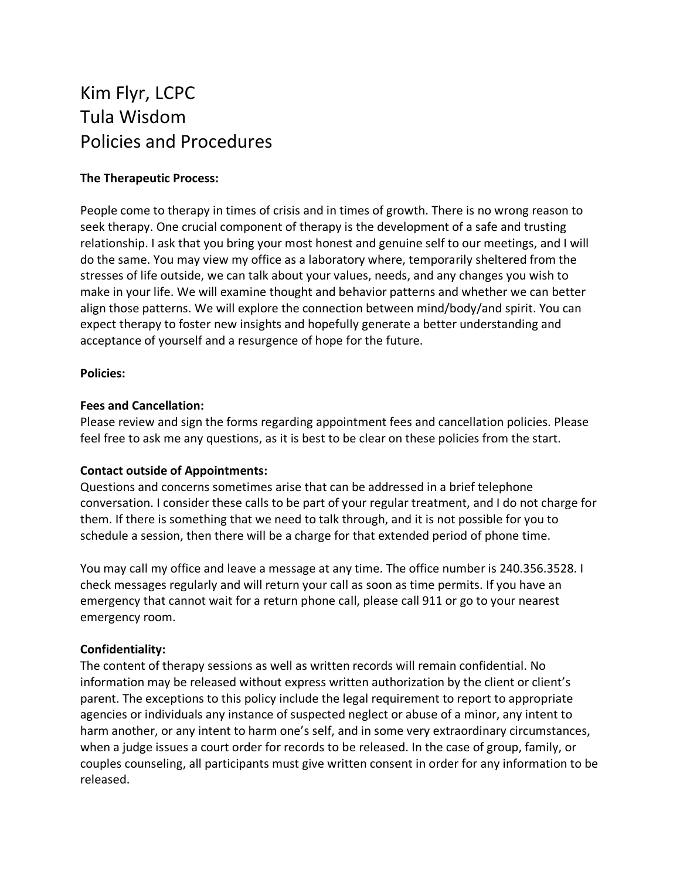# Kim Flyr, LCPC Tula Wisdom Policies and Procedures

# **The Therapeutic Process:**

People come to therapy in times of crisis and in times of growth. There is no wrong reason to seek therapy. One crucial component of therapy is the development of a safe and trusting relationship. I ask that you bring your most honest and genuine self to our meetings, and I will do the same. You may view my office as a laboratory where, temporarily sheltered from the stresses of life outside, we can talk about your values, needs, and any changes you wish to make in your life. We will examine thought and behavior patterns and whether we can better align those patterns. We will explore the connection between mind/body/and spirit. You can expect therapy to foster new insights and hopefully generate a better understanding and acceptance of yourself and a resurgence of hope for the future.

#### **Policies:**

### **Fees and Cancellation:**

Please review and sign the forms regarding appointment fees and cancellation policies. Please feel free to ask me any questions, as it is best to be clear on these policies from the start.

# **Contact outside of Appointments:**

Questions and concerns sometimes arise that can be addressed in a brief telephone conversation. I consider these calls to be part of your regular treatment, and I do not charge for them. If there is something that we need to talk through, and it is not possible for you to schedule a session, then there will be a charge for that extended period of phone time.

You may call my office and leave a message at any time. The office number is 240.356.3528. I check messages regularly and will return your call as soon as time permits. If you have an emergency that cannot wait for a return phone call, please call 911 or go to your nearest emergency room.

# **Confidentiality:**

The content of therapy sessions as well as written records will remain confidential. No information may be released without express written authorization by the client or client's parent. The exceptions to this policy include the legal requirement to report to appropriate agencies or individuals any instance of suspected neglect or abuse of a minor, any intent to harm another, or any intent to harm one's self, and in some very extraordinary circumstances, when a judge issues a court order for records to be released. In the case of group, family, or couples counseling, all participants must give written consent in order for any information to be released.